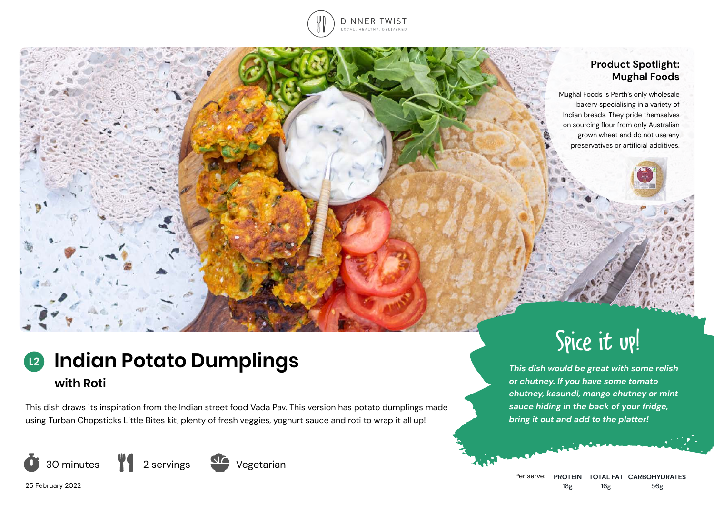

## **Product Spotlight: Mughal Foods**

Mughal Foods is Perth's only wholesale bakery specialising in a variety of Indian breads. They pride themselves on sourcing flour from only Australian grown wheat and do not use any preservatives or artificial additives.

# **Indian Potato Dumplings with Roti L2**

This dish draws its inspiration from the Indian street food Vada Pav. This version has potato dumplings made using Turban Chopsticks Little Bites kit, plenty of fresh veggies, yoghurt sauce and roti to wrap it all up!





Spice it up!

*This dish would be great with some relish or chutney. If you have some tomato chutney, kasundi, mango chutney or mint sauce hiding in the back of your fridge, bring it out and add to the platter!*